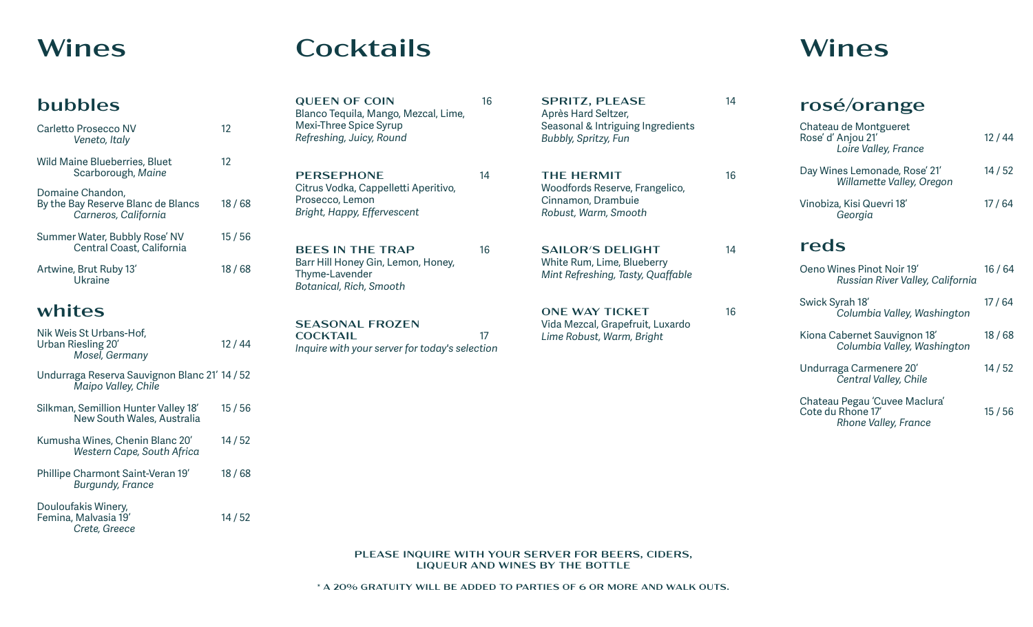

Phillipe Charmont Saint-Veran 19' 18 / 68

Femina, Malvasia 19' 14 / 52

*Burgundy, France*

*Crete, Greece*

Douloufakis Winery,

# Cocktails Wines Wines

| bubbles                                                                        |       | <b>QUEEN OF COIN</b><br>Blanco Tequila, Mango, Mezcal, Lime,                                                      | 16 | <b>SPRITZ, PLEASE</b><br>Après Hard Seltzer,                                                      | 14 | rosé/orange                                                                |       |
|--------------------------------------------------------------------------------|-------|-------------------------------------------------------------------------------------------------------------------|----|---------------------------------------------------------------------------------------------------|----|----------------------------------------------------------------------------|-------|
| Carletto Prosecco NV<br>Veneto, Italy                                          | 12    | Mexi-Three Spice Syrup<br>Refreshing, Juicy, Round                                                                |    | Seasonal & Intriguing Ingredients<br>Bubbly, Spritzy, Fun                                         |    | Chateau de Montgueret<br>Rose' d' Anjou 21'<br>Loire Valley, France        | 12/44 |
| Wild Maine Blueberries, Bluet<br>Scarborough, Maine                            | 12    | <b>PERSEPHONE</b><br>Citrus Vodka, Cappelletti Aperitivo,<br>Prosecco, Lemon<br>Bright, Happy, Effervescent       | 14 | <b>THE HERMIT</b><br>Woodfords Reserve, Frangelico,<br>Cinnamon, Drambuie<br>Robust, Warm, Smooth | 16 | Day Wines Lemonade, Rose' 21'<br>Willamette Valley, Oregon                 | 14/52 |
| Domaine Chandon,<br>By the Bay Reserve Blanc de Blancs<br>Carneros, California | 18/68 |                                                                                                                   |    |                                                                                                   |    | Vinobiza, Kisi Quevri 18'<br>Georgia                                       | 17/64 |
| Summer Water, Bubbly Rose' NV<br>Central Coast, California                     | 15/56 | <b>BEES IN THE TRAP</b><br>Barr Hill Honey Gin, Lemon, Honey,<br>Thyme-Lavender<br><b>Botanical, Rich, Smooth</b> | 16 | <b>SAILOR'S DELIGHT</b><br>White Rum, Lime, Blueberry<br>Mint Refreshing, Tasty, Quaffable        | 14 | reds                                                                       |       |
| Artwine, Brut Ruby 13'<br>Ukraine                                              | 18/68 |                                                                                                                   |    |                                                                                                   |    | Oeno Wines Pinot Noir 19<br>Russian River Valley, California               | 16/64 |
| whites                                                                         |       |                                                                                                                   |    | <b>ONE WAY TICKET</b>                                                                             | 16 | Swick Syrah 18'<br>Columbia Valley, Washington                             | 17/64 |
| Nik Weis St Urbans-Hof,<br>Urban Riesling 20'<br>Mosel, Germany                | 12/44 | <b>SEASONAL FROZEN</b><br><b>COCKTAIL</b><br>Inquire with your server for today's selection                       | 17 | Vida Mezcal, Grapefruit, Luxardo<br>Lime Robust, Warm, Bright                                     |    | Kiona Cabernet Sauvignon 18'<br>Columbia Valley, Washington                | 18/68 |
| Undurraga Reserva Sauvignon Blanc 21' 14 / 52<br>Maipo Valley, Chile           |       |                                                                                                                   |    |                                                                                                   |    | Undurraga Carmenere 20'<br>Central Valley, Chile                           | 14/52 |
| Silkman, Semillion Hunter Valley 18'<br>New South Wales, Australia             | 15/56 |                                                                                                                   |    |                                                                                                   |    | Chateau Pegau 'Cuvee Maclura'<br>Cote du Rhone 17'<br>Rhone Valley, France | 15/56 |
| Kumusha Wines, Chenin Blanc 20'<br>Western Cape, South Africa                  | 14/52 |                                                                                                                   |    |                                                                                                   |    |                                                                            |       |

PLEASE INQUIRE WITH YOUR SERVER FOR BEERS, CIDERS, LIQUEUR AND WINES BY THE BOTTLE